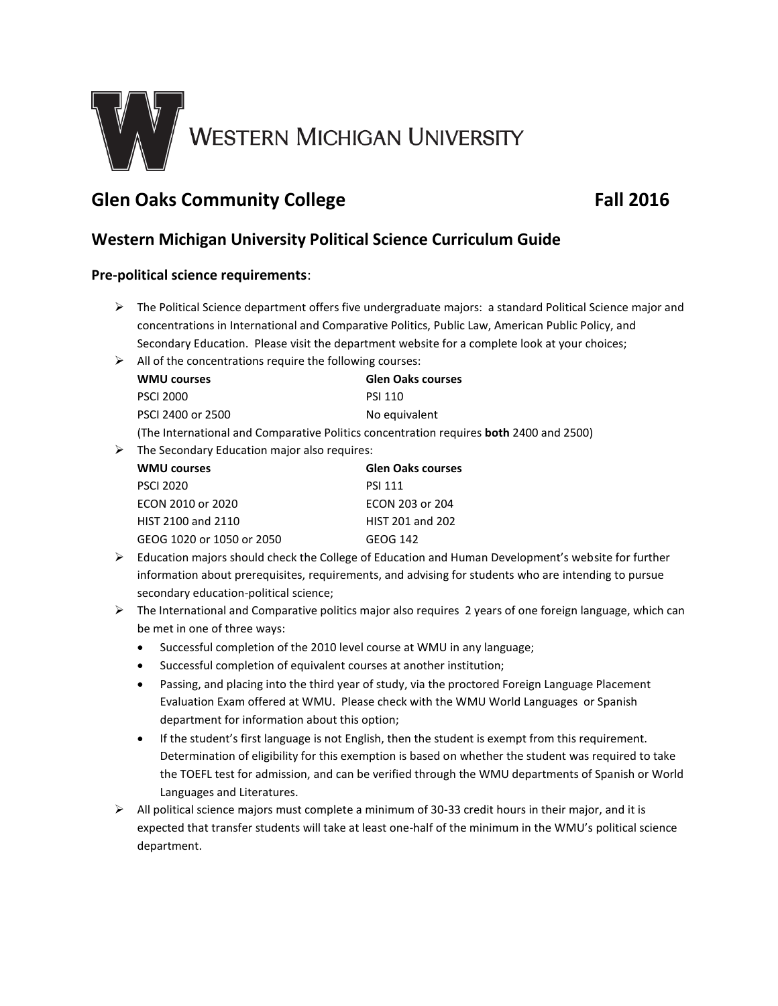

# **Glen Oaks Community College Fall 2016**

## **Western Michigan University Political Science Curriculum Guide**

### **Pre-political science requirements**:

- $\triangleright$  The Political Science department offers five undergraduate majors: a standard Political Science major and concentrations in International and Comparative Politics, Public Law, American Public Policy, and Secondary Education. Please visit the department website for a complete look at your choices;
- $\triangleright$  All of the concentrations require the following courses:

| <b>WMU courses</b>                                                                            | <b>Glen Oaks courses</b> |
|-----------------------------------------------------------------------------------------------|--------------------------|
| PSCI 2000                                                                                     | <b>PSI 110</b>           |
| PSCI 2400 or 2500                                                                             | No equivalent            |
| (The International and Comparative Politics concentration requires <b>both</b> 2400 and 2500) |                          |

 $\triangleright$  The Secondary Education major also requires:

| <b>WMU courses</b>        | <b>Glen Oaks courses</b> |
|---------------------------|--------------------------|
| <b>PSCI 2020</b>          | <b>PSI 111</b>           |
| ECON 2010 or 2020         | ECON 203 or 204          |
| HIST 2100 and 2110        | HIST 201 and 202         |
| GEOG 1020 or 1050 or 2050 | GFOG 142                 |

- $\triangleright$  Education majors should check the College of Education and Human Development's website for further information about prerequisites, requirements, and advising for students who are intending to pursue secondary education-political science;
- $\triangleright$  The International and Comparative politics major also requires 2 years of one foreign language, which can be met in one of three ways:
	- Successful completion of the 2010 level course at WMU in any language;
	- Successful completion of equivalent courses at another institution;
	- Passing, and placing into the third year of study, via the proctored Foreign Language Placement Evaluation Exam offered at WMU. Please check with the WMU World Languages or Spanish department for information about this option;
	- If the student's first language is not English, then the student is exempt from this requirement. Determination of eligibility for this exemption is based on whether the student was required to take the TOEFL test for admission, and can be verified through the WMU departments of Spanish or World Languages and Literatures.
- $\triangleright$  All political science majors must complete a minimum of 30-33 credit hours in their major, and it is expected that transfer students will take at least one-half of the minimum in the WMU's political science department.